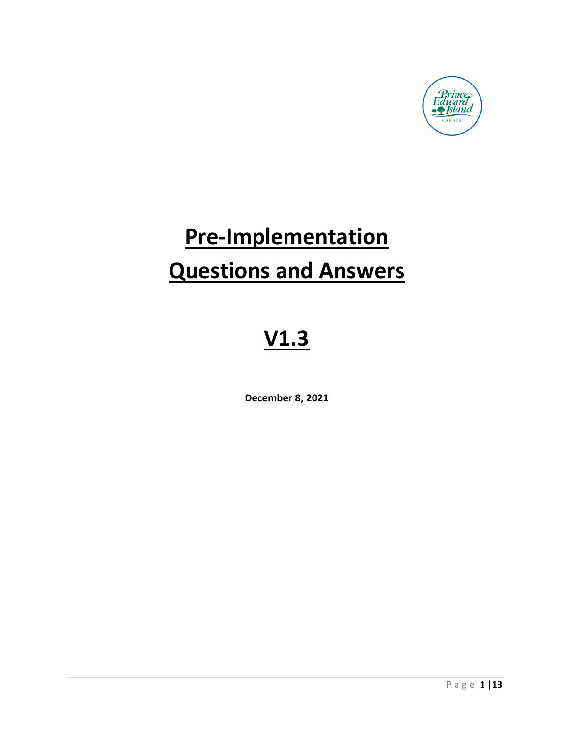

# **Pre-Implementation Questions and Answers**

# **V1.3**

**December 8, 2021**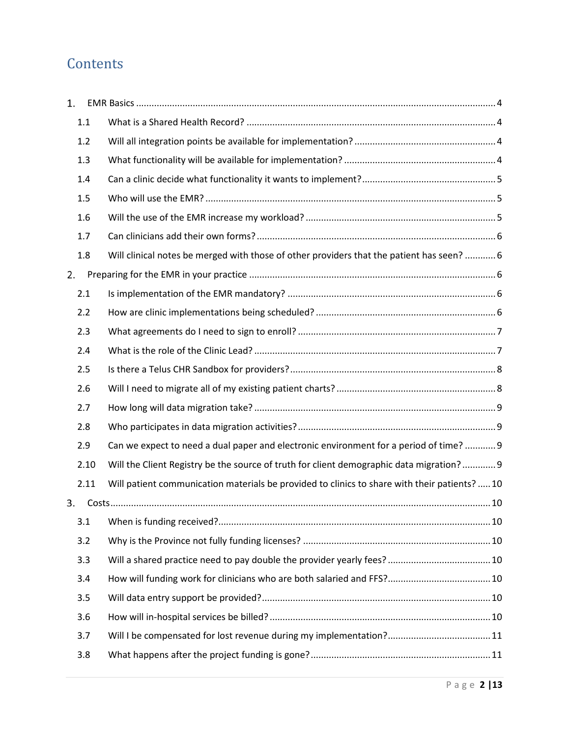# **Contents**

| 1.   |                                                                                               |
|------|-----------------------------------------------------------------------------------------------|
| 1.1  |                                                                                               |
| 1.2  |                                                                                               |
| 1.3  |                                                                                               |
| 1.4  |                                                                                               |
| 1.5  |                                                                                               |
| 1.6  |                                                                                               |
| 1.7  |                                                                                               |
| 1.8  | Will clinical notes be merged with those of other providers that the patient has seen?  6     |
| 2.   |                                                                                               |
| 2.1  |                                                                                               |
| 2.2  |                                                                                               |
| 2.3  |                                                                                               |
| 2.4  |                                                                                               |
| 2.5  |                                                                                               |
| 2.6  |                                                                                               |
| 2.7  |                                                                                               |
| 2.8  |                                                                                               |
| 2.9  | Can we expect to need a dual paper and electronic environment for a period of time?  9        |
| 2.10 | Will the Client Registry be the source of truth for client demographic data migration? 9      |
| 2.11 | Will patient communication materials be provided to clinics to share with their patients?  10 |
| 3.   |                                                                                               |
| 3.1  |                                                                                               |
| 3.2  |                                                                                               |
| 3.3  |                                                                                               |
| 3.4  |                                                                                               |
| 3.5  |                                                                                               |
| 3.6  |                                                                                               |
| 3.7  |                                                                                               |
| 3.8  |                                                                                               |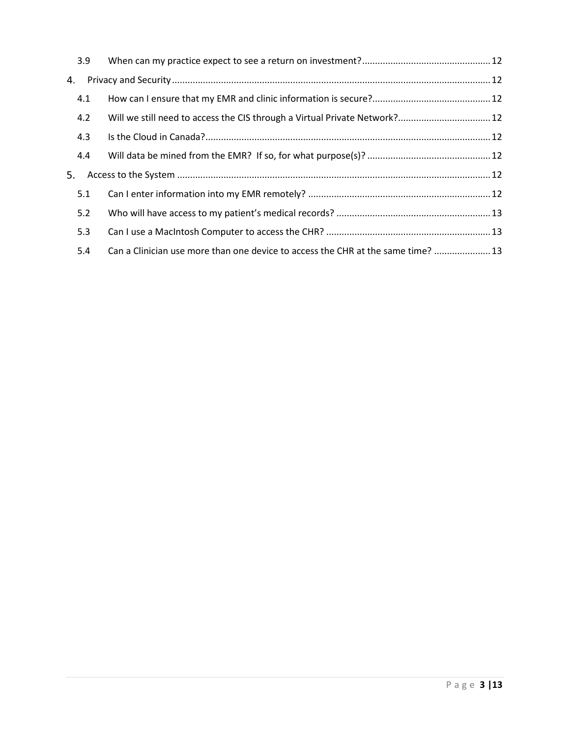| 3.9 |                                                                                  |  |
|-----|----------------------------------------------------------------------------------|--|
| 4.  |                                                                                  |  |
| 4.1 |                                                                                  |  |
| 4.2 | Will we still need to access the CIS through a Virtual Private Network? 12       |  |
| 4.3 |                                                                                  |  |
| 4.4 |                                                                                  |  |
| 5.  |                                                                                  |  |
| 5.1 |                                                                                  |  |
| 5.2 |                                                                                  |  |
| 5.3 |                                                                                  |  |
| 5.4 | Can a Clinician use more than one device to access the CHR at the same time?  13 |  |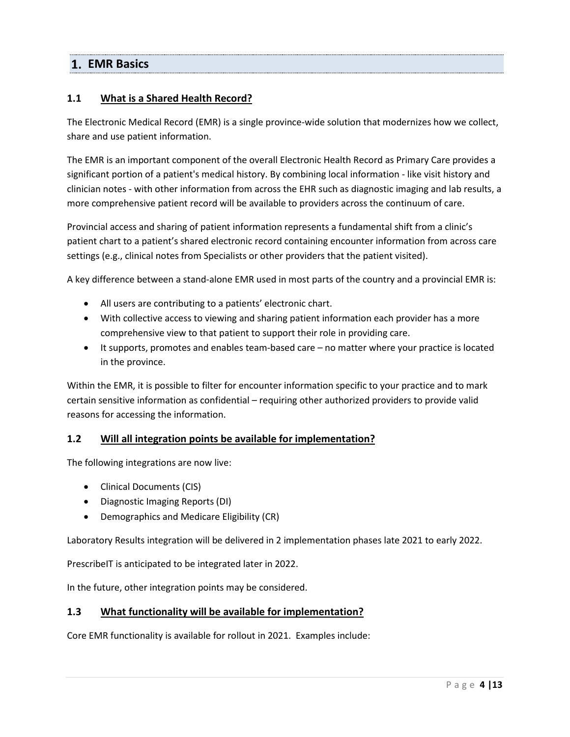# <span id="page-3-0"></span>**EMR Basics**

# <span id="page-3-1"></span>**1.1 What is a Shared Health Record?**

The Electronic Medical Record (EMR) is a single province-wide solution that modernizes how we collect, share and use patient information.

The EMR is an important component of the overall Electronic Health Record as Primary Care provides a significant portion of a patient's medical history. By combining local information - like visit history and clinician notes - with other information from across the EHR such as diagnostic imaging and lab results, a more comprehensive patient record will be available to providers across the continuum of care.

Provincial access and sharing of patient information represents a fundamental shift from a clinic's patient chart to a patient's shared electronic record containing encounter information from across care settings (e.g., clinical notes from Specialists or other providers that the patient visited).

A key difference between a stand-alone EMR used in most parts of the country and a provincial EMR is:

- All users are contributing to a patients' electronic chart.
- With collective access to viewing and sharing patient information each provider has a more comprehensive view to that patient to support their role in providing care.
- It supports, promotes and enables team-based care no matter where your practice is located in the province.

Within the EMR, it is possible to filter for encounter information specific to your practice and to mark certain sensitive information as confidential – requiring other authorized providers to provide valid reasons for accessing the information.

# <span id="page-3-2"></span>**1.2 Will all integration points be available for implementation?**

The following integrations are now live:

- Clinical Documents (CIS)
- Diagnostic Imaging Reports (DI)
- Demographics and Medicare Eligibility (CR)

Laboratory Results integration will be delivered in 2 implementation phases late 2021 to early 2022.

PrescribeIT is anticipated to be integrated later in 2022.

In the future, other integration points may be considered.

#### <span id="page-3-3"></span>**1.3 What functionality will be available for implementation?**

Core EMR functionality is available for rollout in 2021. Examples include: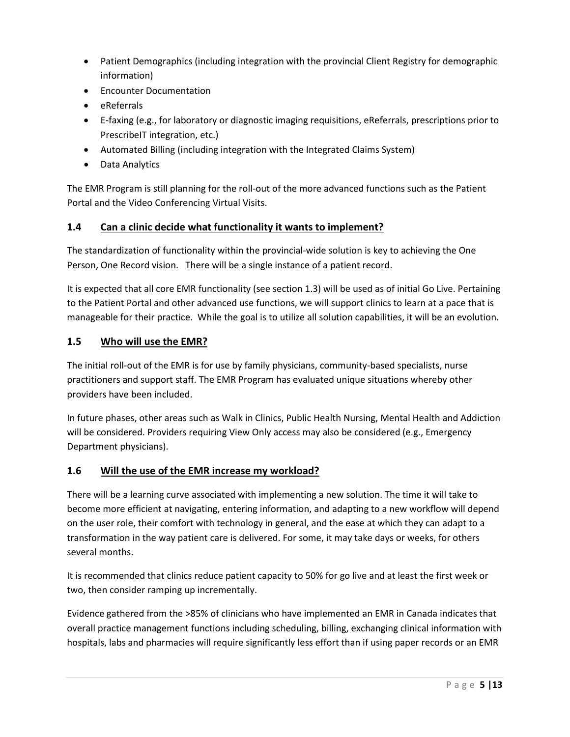- Patient Demographics (including integration with the provincial Client Registry for demographic information)
- Encounter Documentation
- eReferrals
- E-faxing (e.g., for laboratory or diagnostic imaging requisitions, eReferrals, prescriptions prior to PrescribeIT integration, etc.)
- Automated Billing (including integration with the Integrated Claims System)
- Data Analytics

The EMR Program is still planning for the roll-out of the more advanced functions such as the Patient Portal and the Video Conferencing Virtual Visits.

# <span id="page-4-0"></span>**1.4 Can a clinic decide what functionality it wants to implement?**

The standardization of functionality within the provincial-wide solution is key to achieving the One Person, One Record vision. There will be a single instance of a patient record.

It is expected that all core EMR functionality (see section 1.3) will be used as of initial Go Live. Pertaining to the Patient Portal and other advanced use functions, we will support clinics to learn at a pace that is manageable for their practice. While the goal is to utilize all solution capabilities, it will be an evolution.

# <span id="page-4-1"></span>**1.5 Who will use the EMR?**

The initial roll-out of the EMR is for use by family physicians, community-based specialists, nurse practitioners and support staff. The EMR Program has evaluated unique situations whereby other providers have been included.

In future phases, other areas such as Walk in Clinics, Public Health Nursing, Mental Health and Addiction will be considered. Providers requiring View Only access may also be considered (e.g., Emergency Department physicians).

# <span id="page-4-2"></span>**1.6 Will the use of the EMR increase my workload?**

There will be a learning curve associated with implementing a new solution. The time it will take to become more efficient at navigating, entering information, and adapting to a new workflow will depend on the user role, their comfort with technology in general, and the ease at which they can adapt to a transformation in the way patient care is delivered. For some, it may take days or weeks, for others several months.

It is recommended that clinics reduce patient capacity to 50% for go live and at least the first week or two, then consider ramping up incrementally.

Evidence gathered from the >85% of clinicians who have implemented an EMR in Canada indicates that overall practice management functions including scheduling, billing, exchanging clinical information with hospitals, labs and pharmacies will require significantly less effort than if using paper records or an EMR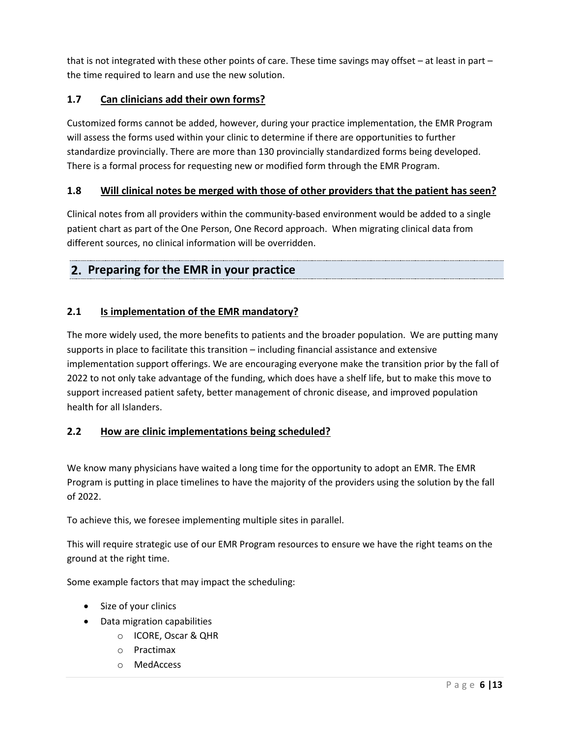that is not integrated with these other points of care. These time savings may offset – at least in part – the time required to learn and use the new solution.

# <span id="page-5-0"></span>**1.7 Can clinicians add their own forms?**

Customized forms cannot be added, however, during your practice implementation, the EMR Program will assess the forms used within your clinic to determine if there are opportunities to further standardize provincially. There are more than 130 provincially standardized forms being developed. There is a formal process for requesting new or modified form through the EMR Program.

# <span id="page-5-1"></span>**1.8 Will clinical notes be merged with those of other providers that the patient has seen?**

Clinical notes from all providers within the community-based environment would be added to a single patient chart as part of the One Person, One Record approach. When migrating clinical data from different sources, no clinical information will be overridden.

# <span id="page-5-2"></span>**Preparing for the EMR in your practice**

# <span id="page-5-3"></span>**2.1 Is implementation of the EMR mandatory?**

The more widely used, the more benefits to patients and the broader population. We are putting many supports in place to facilitate this transition – including financial assistance and extensive implementation support offerings. We are encouraging everyone make the transition prior by the fall of 2022 to not only take advantage of the funding, which does have a shelf life, but to make this move to support increased patient safety, better management of chronic disease, and improved population health for all Islanders.

# <span id="page-5-4"></span>**2.2 How are clinic implementations being scheduled?**

We know many physicians have waited a long time for the opportunity to adopt an EMR. The EMR Program is putting in place timelines to have the majority of the providers using the solution by the fall of 2022.

To achieve this, we foresee implementing multiple sites in parallel.

This will require strategic use of our EMR Program resources to ensure we have the right teams on the ground at the right time.

Some example factors that may impact the scheduling:

- Size of your clinics
- Data migration capabilities
	- o ICORE, Oscar & QHR
	- o Practimax
	- o MedAccess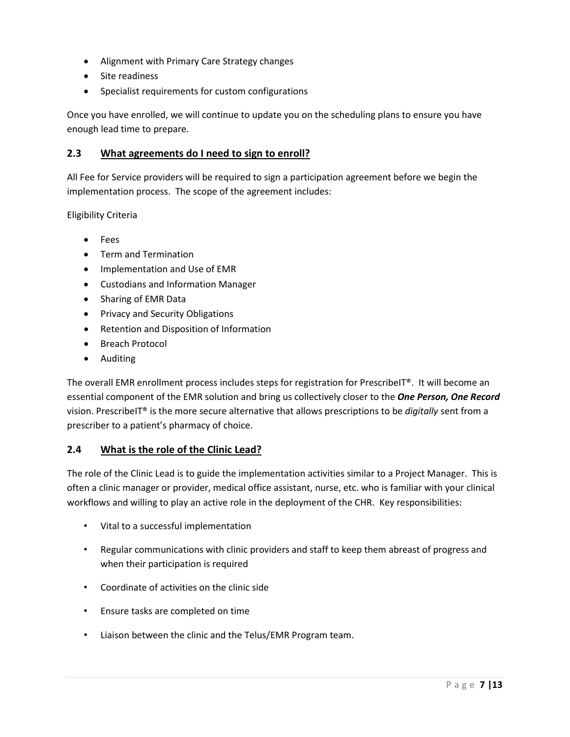- Alignment with Primary Care Strategy changes
- Site readiness
- Specialist requirements for custom configurations

Once you have enrolled, we will continue to update you on the scheduling plans to ensure you have enough lead time to prepare.

# <span id="page-6-0"></span>**2.3 What agreements do I need to sign to enroll?**

All Fee for Service providers will be required to sign a participation agreement before we begin the implementation process. The scope of the agreement includes:

Eligibility Criteria

- Fees
- Term and Termination
- Implementation and Use of EMR
- Custodians and Information Manager
- Sharing of EMR Data
- Privacy and Security Obligations
- Retention and Disposition of Information
- Breach Protocol
- Auditing

The overall EMR enrollment process includes steps for registration for PrescribeIT®. It will become an essential component of the EMR solution and bring us collectively closer to the *One Person, One Record* vision. PrescribeIT® is the more secure alternative that allows prescriptions to be *digitally* sent from a prescriber to a patient's pharmacy of choice.

# <span id="page-6-1"></span>**2.4 What is the role of the Clinic Lead?**

The role of the Clinic Lead is to guide the implementation activities similar to a Project Manager. This is often a clinic manager or provider, medical office assistant, nurse, etc. who is familiar with your clinical workflows and willing to play an active role in the deployment of the CHR. Key responsibilities:

- Vital to a successful implementation
- Regular communications with clinic providers and staff to keep them abreast of progress and when their participation is required
- Coordinate of activities on the clinic side
- Ensure tasks are completed on time
- Liaison between the clinic and the Telus/EMR Program team.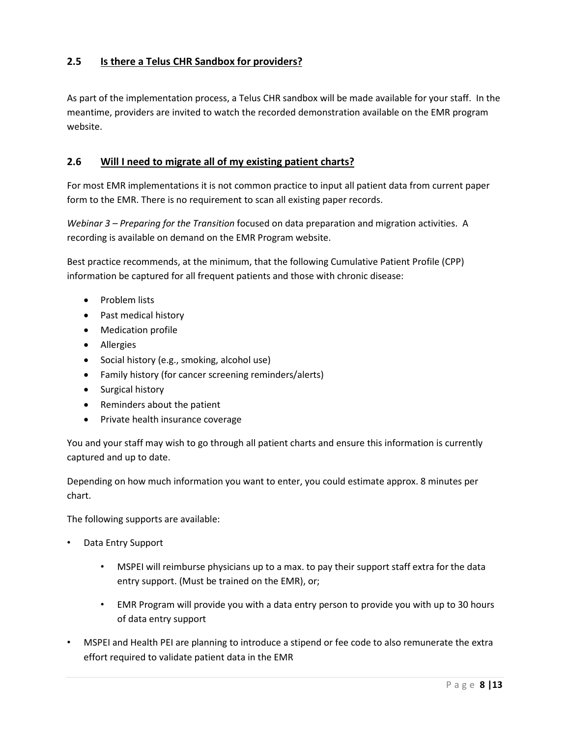# <span id="page-7-0"></span>**2.5 Is there a Telus CHR Sandbox for providers?**

As part of the implementation process, a Telus CHR sandbox will be made available for your staff. In the meantime, providers are invited to watch the recorded demonstration available on the EMR program website.

# <span id="page-7-1"></span>**2.6 Will I need to migrate all of my existing patient charts?**

For most EMR implementations it is not common practice to input all patient data from current paper form to the EMR. There is no requirement to scan all existing paper records.

*Webinar 3 – Preparing for the Transition* focused on data preparation and migration activities. A recording is available on demand on the EMR Program website.

Best practice recommends, at the minimum, that the following Cumulative Patient Profile (CPP) information be captured for all frequent patients and those with chronic disease:

- Problem lists
- Past medical history
- Medication profile
- Allergies
- Social history (e.g., smoking, alcohol use)
- Family history (for cancer screening reminders/alerts)
- Surgical history
- Reminders about the patient
- Private health insurance coverage

You and your staff may wish to go through all patient charts and ensure this information is currently captured and up to date.

Depending on how much information you want to enter, you could estimate approx. 8 minutes per chart.

The following supports are available:

- Data Entry Support
	- MSPEI will reimburse physicians up to a max. to pay their support staff extra for the data entry support. (Must be trained on the EMR), or;
	- EMR Program will provide you with a data entry person to provide you with up to 30 hours of data entry support
- MSPEI and Health PEI are planning to introduce a stipend or fee code to also remunerate the extra effort required to validate patient data in the EMR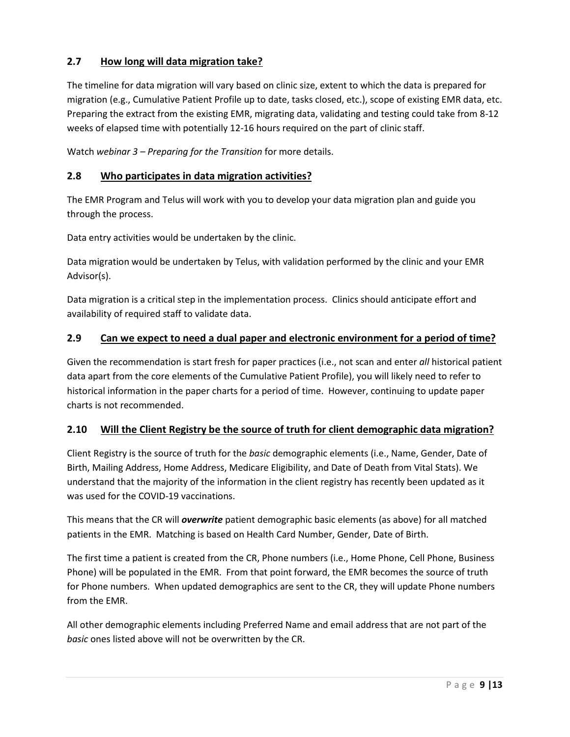# <span id="page-8-0"></span>**2.7 How long will data migration take?**

The timeline for data migration will vary based on clinic size, extent to which the data is prepared for migration (e.g., Cumulative Patient Profile up to date, tasks closed, etc.), scope of existing EMR data, etc. Preparing the extract from the existing EMR, migrating data, validating and testing could take from 8-12 weeks of elapsed time with potentially 12-16 hours required on the part of clinic staff.

Watch *webinar 3 – Preparing for the Transition* for more details.

# <span id="page-8-1"></span>**2.8 Who participates in data migration activities?**

The EMR Program and Telus will work with you to develop your data migration plan and guide you through the process.

Data entry activities would be undertaken by the clinic.

Data migration would be undertaken by Telus, with validation performed by the clinic and your EMR Advisor(s).

Data migration is a critical step in the implementation process. Clinics should anticipate effort and availability of required staff to validate data.

#### <span id="page-8-2"></span>**2.9 Can we expect to need a dual paper and electronic environment for a period of time?**

Given the recommendation is start fresh for paper practices (i.e., not scan and enter *all* historical patient data apart from the core elements of the Cumulative Patient Profile), you will likely need to refer to historical information in the paper charts for a period of time. However, continuing to update paper charts is not recommended.

# <span id="page-8-3"></span>**2.10 Will the Client Registry be the source of truth for client demographic data migration?**

Client Registry is the source of truth for the *basic* demographic elements (i.e., Name, Gender, Date of Birth, Mailing Address, Home Address, Medicare Eligibility, and Date of Death from Vital Stats). We understand that the majority of the information in the client registry has recently been updated as it was used for the COVID-19 vaccinations.

This means that the CR will *overwrite* patient demographic basic elements (as above) for all matched patients in the EMR. Matching is based on Health Card Number, Gender, Date of Birth.

The first time a patient is created from the CR, Phone numbers (i.e., Home Phone, Cell Phone, Business Phone) will be populated in the EMR. From that point forward, the EMR becomes the source of truth for Phone numbers. When updated demographics are sent to the CR, they will update Phone numbers from the EMR.

All other demographic elements including Preferred Name and email address that are not part of the *basic* ones listed above will not be overwritten by the CR.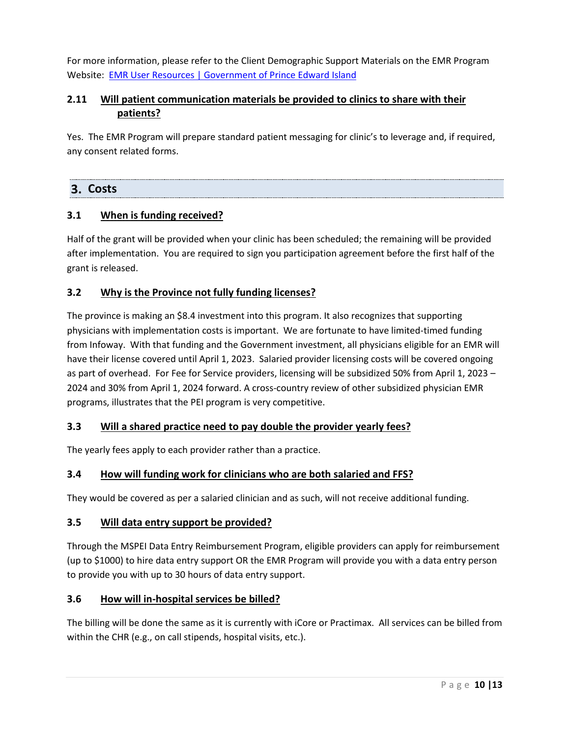For more information, please refer to the Client Demographic Support Materials on the EMR Program Website: EMR User Resources | Government of Prince Edward Island

# <span id="page-9-0"></span>**2.11 Will patient communication materials be provided to clinics to share with their patients?**

Yes. The EMR Program will prepare standard patient messaging for clinic's to leverage and, if required, any consent related forms.

# <span id="page-9-1"></span>**Costs**

# <span id="page-9-2"></span>**3.1 When is funding received?**

Half of the grant will be provided when your clinic has been scheduled; the remaining will be provided after implementation. You are required to sign you participation agreement before the first half of the grant is released.

# <span id="page-9-3"></span>**3.2 Why is the Province not fully funding licenses?**

The province is making an \$8.4 investment into this program. It also recognizes that supporting physicians with implementation costs is important. We are fortunate to have limited-timed funding from Infoway. With that funding and the Government investment, all physicians eligible for an EMR will have their license covered until April 1, 2023. Salaried provider licensing costs will be covered ongoing as part of overhead. For Fee for Service providers, licensing will be subsidized 50% from April 1, 2023 – 2024 and 30% from April 1, 2024 forward. A cross-country review of other subsidized physician EMR programs, illustrates that the PEI program is very competitive.

# <span id="page-9-4"></span>**3.3 Will a shared practice need to pay double the provider yearly fees?**

The yearly fees apply to each provider rather than a practice.

# <span id="page-9-5"></span>**3.4 How will funding work for clinicians who are both salaried and FFS?**

They would be covered as per a salaried clinician and as such, will not receive additional funding.

# <span id="page-9-6"></span>**3.5 Will data entry support be provided?**

Through the MSPEI Data Entry Reimbursement Program, eligible providers can apply for reimbursement (up to \$1000) to hire data entry support OR the EMR Program will provide you with a data entry person to provide you with up to 30 hours of data entry support.

# <span id="page-9-7"></span>**3.6 How will in-hospital services be billed?**

The billing will be done the same as it is currently with iCore or Practimax. All services can be billed from within the CHR (e.g., on call stipends, hospital visits, etc.).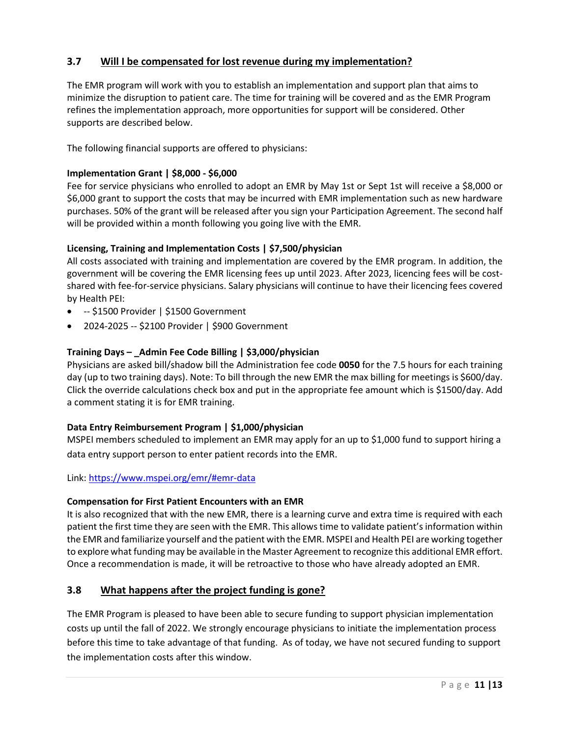# <span id="page-10-0"></span>**3.7 Will I be compensated for lost revenue during my implementation?**

The EMR program will work with you to establish an implementation and support plan that aims to minimize the disruption to patient care. The time for training will be covered and as the EMR Program refines the implementation approach, more opportunities for support will be considered. Other supports are described below.

The following financial supports are offered to physicians:

#### **Implementation Grant | \$8,000 - \$6,000**

Fee for service physicians who enrolled to adopt an EMR by May 1st or Sept 1st will receive a \$8,000 or \$6,000 grant to support the costs that may be incurred with EMR implementation such as new hardware purchases. 50% of the grant will be released after you sign your Participation Agreement. The second half will be provided within a month following you going live with the EMR.

#### **Licensing, Training and Implementation Costs | \$7,500/physician**

All costs associated with training and implementation are covered by the EMR program. In addition, the government will be covering the EMR licensing fees up until 2023. After 2023, licencing fees will be costshared with fee-for-service physicians. Salary physicians will continue to have their licencing fees covered by Health PEI:

- -- \$1500 Provider | \$1500 Government
- 2024-2025 -- \$2100 Provider | \$900 Government

#### **Training Days – \_Admin Fee Code Billing | \$3,000/physician**

Physicians are asked bill/shadow bill the Administration fee code **0050** for the 7.5 hours for each training day (up to two training days). Note: To bill through the new EMR the max billing for meetings is \$600/day. Click the override calculations check box and put in the appropriate fee amount which is \$1500/day. Add a comment stating it is for EMR training.

#### **Data Entry Reimbursement Program | \$1,000/physician**

MSPEI members scheduled to implement an EMR may apply for an up to \$1,000 fund to support hiring a data entry support person to enter patient records into the EMR.

Link: https://www.mspei.org/emr/#emr-data

#### **Compensation for First Patient Encounters with an EMR**

It is also recognized that with the new EMR, there is a learning curve and extra time is required with each patient the first time they are seen with the EMR. This allows time to validate patient's information within the EMR and familiarize yourself and the patient with the EMR. MSPEI and Health PEI are working together to explore what funding may be available in the Master Agreement to recognize this additional EMR effort. Once a recommendation is made, it will be retroactive to those who have already adopted an EMR.

# <span id="page-10-1"></span>**3.8 What happens after the project funding is gone?**

The EMR Program is pleased to have been able to secure funding to support physician implementation costs up until the fall of 2022. We strongly encourage physicians to initiate the implementation process before this time to take advantage of that funding. As of today, we have not secured funding to support the implementation costs after this window.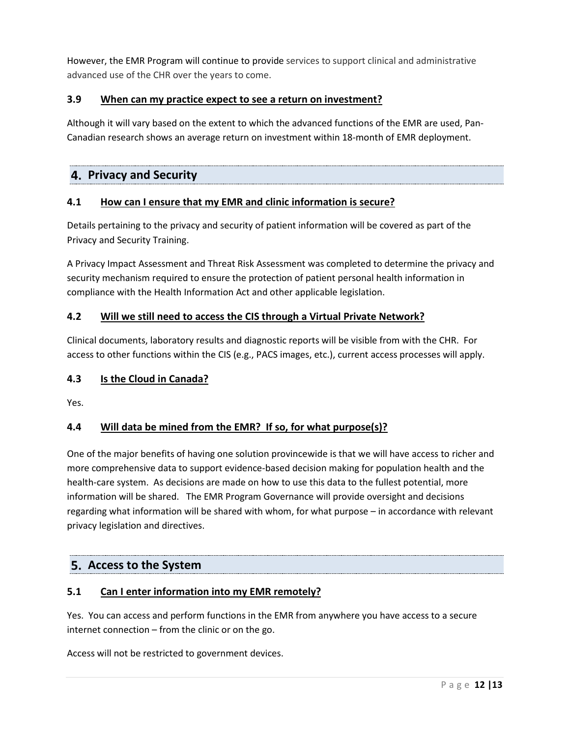However, the EMR Program will continue to provide services to support clinical and administrative advanced use of the CHR over the years to come.

# <span id="page-11-0"></span>**3.9 When can my practice expect to see a return on investment?**

Although it will vary based on the extent to which the advanced functions of the EMR are used, Pan-Canadian research shows an average return on investment within 18-month of EMR deployment.

# <span id="page-11-1"></span>**Privacy and Security**

# <span id="page-11-2"></span>**4.1 How can I ensure that my EMR and clinic information is secure?**

Details pertaining to the privacy and security of patient information will be covered as part of the Privacy and Security Training.

A Privacy Impact Assessment and Threat Risk Assessment was completed to determine the privacy and security mechanism required to ensure the protection of patient personal health information in compliance with the Health Information Act and other applicable legislation.

# <span id="page-11-3"></span>**4.2 Will we still need to access the CIS through a Virtual Private Network?**

Clinical documents, laboratory results and diagnostic reports will be visible from with the CHR. For access to other functions within the CIS (e.g., PACS images, etc.), current access processes will apply.

# <span id="page-11-4"></span>**4.3 Is the Cloud in Canada?**

Yes.

# <span id="page-11-5"></span>**4.4 Will data be mined from the EMR? If so, for what purpose(s)?**

One of the major benefits of having one solution provincewide is that we will have access to richer and more comprehensive data to support evidence-based decision making for population health and the health-care system. As decisions are made on how to use this data to the fullest potential, more information will be shared. The EMR Program Governance will provide oversight and decisions regarding what information will be shared with whom, for what purpose – in accordance with relevant privacy legislation and directives.

# <span id="page-11-6"></span>**Access to the System**

# <span id="page-11-7"></span>**5.1 Can I enter information into my EMR remotely?**

Yes. You can access and perform functions in the EMR from anywhere you have access to a secure internet connection – from the clinic or on the go.

Access will not be restricted to government devices.